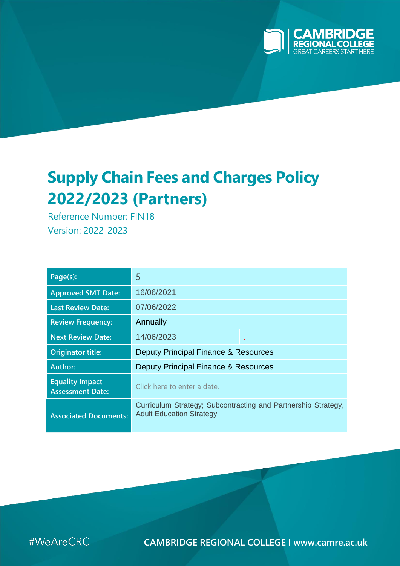

# **Supply Chain Fees and Charges Policy 2022/2023 (Partners)**

Reference Number: FIN18 Version: 2022-2023

| Page(s):                                          | 5                                                                                                |  |  |
|---------------------------------------------------|--------------------------------------------------------------------------------------------------|--|--|
| <b>Approved SMT Date:</b>                         | 16/06/2021                                                                                       |  |  |
| <b>Last Review Date:</b>                          | 07/06/2022                                                                                       |  |  |
| <b>Review Frequency:</b>                          | Annually                                                                                         |  |  |
| <b>Next Review Date:</b>                          | 14/06/2023                                                                                       |  |  |
| Originator title:                                 | Deputy Principal Finance & Resources                                                             |  |  |
| Author:                                           | Deputy Principal Finance & Resources                                                             |  |  |
| <b>Equality Impact</b><br><b>Assessment Date:</b> | Click here to enter a date.                                                                      |  |  |
| <b>Associated Documents:</b>                      | Curriculum Strategy; Subcontracting and Partnership Strategy,<br><b>Adult Education Strategy</b> |  |  |

#WeAreCRC

**CAMBRIDGE REGIONAL COLLEGE I [www.camre.ac.uk](http://www.camre.ac.uk/)**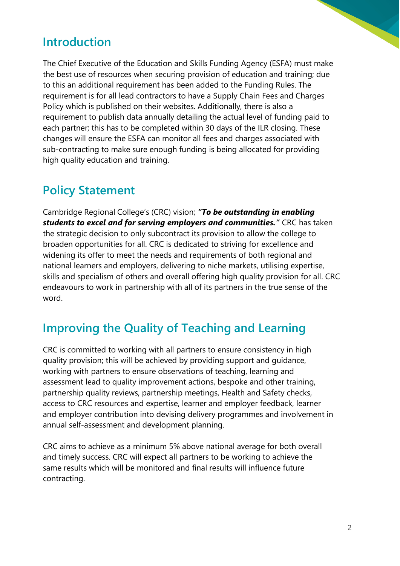## **Introduction**

The Chief Executive of the Education and Skills Funding Agency (ESFA) must make the best use of resources when securing provision of education and training; due to this an additional requirement has been added to the Funding Rules. The requirement is for all lead contractors to have a Supply Chain Fees and Charges Policy which is published on their websites. Additionally, there is also a requirement to publish data annually detailing the actual level of funding paid to each partner; this has to be completed within 30 days of the ILR closing. These changes will ensure the ESFA can monitor all fees and charges associated with sub-contracting to make sure enough funding is being allocated for providing high quality education and training.

# **Policy Statement**

Cambridge Regional College's (CRC) vision; *"To be outstanding in enabling students to excel and for serving employers and communities."* CRC has taken the strategic decision to only subcontract its provision to allow the college to broaden opportunities for all. CRC is dedicated to striving for excellence and widening its offer to meet the needs and requirements of both regional and national learners and employers, delivering to niche markets, utilising expertise, skills and specialism of others and overall offering high quality provision for all. CRC endeavours to work in partnership with all of its partners in the true sense of the word.

## **Improving the Quality of Teaching and Learning**

CRC is committed to working with all partners to ensure consistency in high quality provision; this will be achieved by providing support and guidance, working with partners to ensure observations of teaching, learning and assessment lead to quality improvement actions, bespoke and other training, partnership quality reviews, partnership meetings, Health and Safety checks, access to CRC resources and expertise, learner and employer feedback, learner and employer contribution into devising delivery programmes and involvement in annual self-assessment and development planning.

CRC aims to achieve as a minimum 5% above national average for both overall and timely success. CRC will expect all partners to be working to achieve the same results which will be monitored and final results will influence future contracting.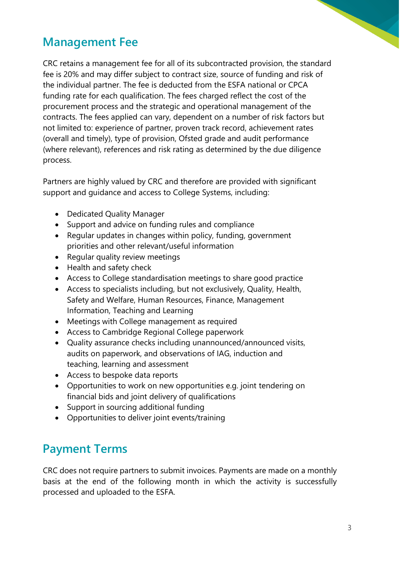

## **Management Fee**

CRC retains a management fee for all of its subcontracted provision, the standard fee is 20% and may differ subject to contract size, source of funding and risk of the individual partner. The fee is deducted from the ESFA national or CPCA funding rate for each qualification. The fees charged reflect the cost of the procurement process and the strategic and operational management of the contracts. The fees applied can vary, dependent on a number of risk factors but not limited to: experience of partner, proven track record, achievement rates (overall and timely), type of provision, Ofsted grade and audit performance (where relevant), references and risk rating as determined by the due diligence process.

Partners are highly valued by CRC and therefore are provided with significant support and guidance and access to College Systems, including:

- Dedicated Quality Manager
- Support and advice on funding rules and compliance
- Regular updates in changes within policy, funding, government priorities and other relevant/useful information
- Regular quality review meetings
- Health and safety check
- Access to College standardisation meetings to share good practice
- Access to specialists including, but not exclusively, Quality, Health, Safety and Welfare, Human Resources, Finance, Management Information, Teaching and Learning
- Meetings with College management as required
- Access to Cambridge Regional College paperwork
- Quality assurance checks including unannounced/announced visits, audits on paperwork, and observations of IAG, induction and teaching, learning and assessment
- Access to bespoke data reports
- Opportunities to work on new opportunities e.g. joint tendering on financial bids and joint delivery of qualifications
- Support in sourcing additional funding
- Opportunities to deliver joint events/training

# **Payment Terms**

CRC does not require partners to submit invoices. Payments are made on a monthly basis at the end of the following month in which the activity is successfully processed and uploaded to the ESFA.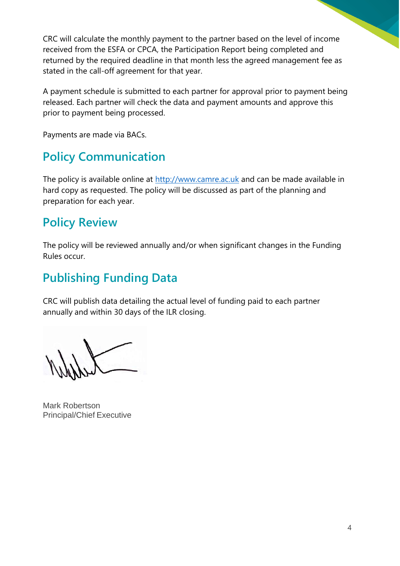CRC will calculate the monthly payment to the partner based on the level of income received from the ESFA or CPCA, the Participation Report being completed and returned by the required deadline in that month less the agreed management fee as stated in the call-off agreement for that year.

A payment schedule is submitted to each partner for approval prior to payment being released. Each partner will check the data and payment amounts and approve this prior to payment being processed.

Payments are made via BACs.

## **Policy Communication**

The policy is available online at [http://www.camre.ac.uk](http://www.camre.ac.uk/) and can be made available in hard copy as requested. The policy will be discussed as part of the planning and preparation for each year.

#### **Policy Review**

The policy will be reviewed annually and/or when significant changes in the Funding Rules occur.

# **Publishing Funding Data**

CRC will publish data detailing the actual level of funding paid to each partner annually and within 30 days of the ILR closing.

Mark Robertson Principal/Chief Executive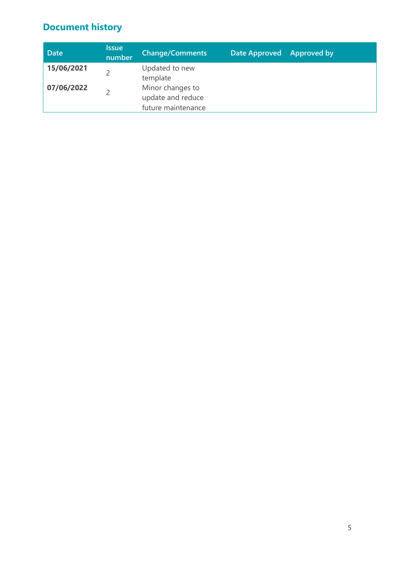#### **Document history**

| <b>Date</b> | <b>Issue</b><br>number | <b>Change/Comments</b>                                      | Date Approved | Approved by |
|-------------|------------------------|-------------------------------------------------------------|---------------|-------------|
| 15/06/2021  |                        | Updated to new<br>template                                  |               |             |
| 07/06/2022  |                        | Minor changes to<br>update and reduce<br>future maintenance |               |             |